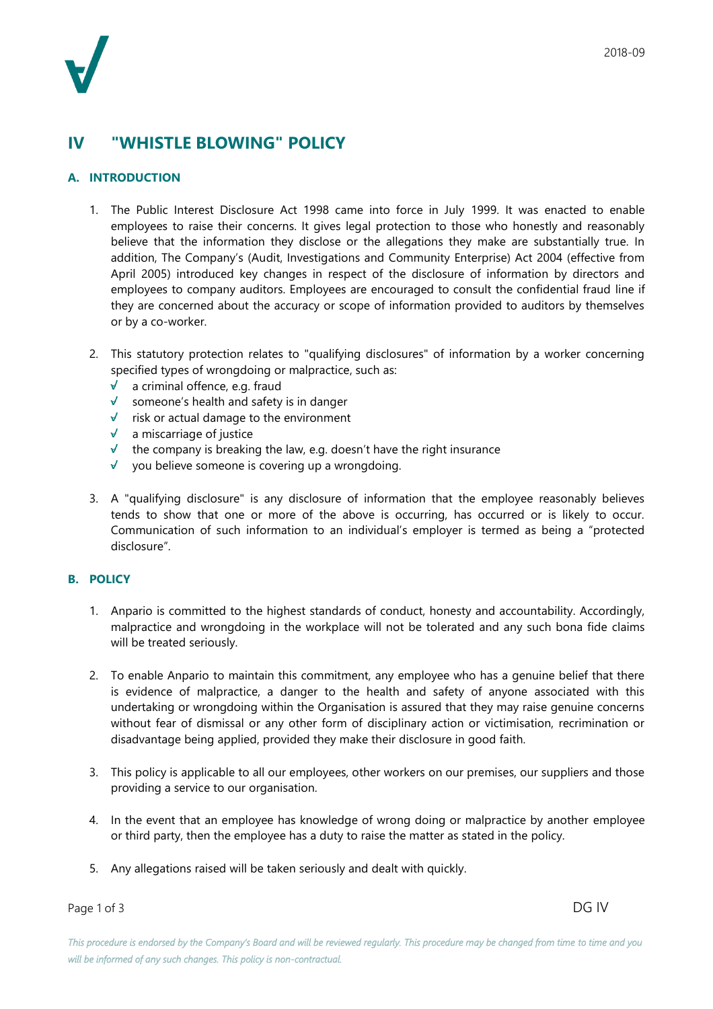## **IV "WHISTLE BLOWING" POLICY**

## **A. INTRODUCTION**

- 1. The Public Interest Disclosure Act 1998 came into force in July 1999. It was enacted to enable employees to raise their concerns. It gives legal protection to those who honestly and reasonably believe that the information they disclose or the allegations they make are substantially true. In addition, The Company's (Audit, Investigations and Community Enterprise) Act 2004 (effective from April 2005) introduced key changes in respect of the disclosure of information by directors and employees to company auditors. Employees are encouraged to consult the confidential fraud line if they are concerned about the accuracy or scope of information provided to auditors by themselves or by a co-worker.
- 2. This statutory protection relates to "qualifying disclosures" of information by a worker concerning specified types of wrongdoing or malpractice, such as:
	- a criminal offence, e.g. fraud  $\sqrt{ }$
	- $\sqrt{\ }$  someone's health and safety is in danger
	- $\sqrt{\phantom{a}}$  risk or actual damage to the environment
	- $\sqrt{ }$ a miscarriage of justice
	- $\checkmark$  the company is breaking the law, e.g. doesn't have the right insurance
	- $\sqrt{ }$ you believe someone is covering up a wrongdoing.
- 3. A "qualifying disclosure" is any disclosure of information that the employee reasonably believes tends to show that one or more of the above is occurring, has occurred or is likely to occur. Communication of such information to an individual's employer is termed as being a "protected disclosure".

## **B. POLICY**

- 1. Anpario is committed to the highest standards of conduct, honesty and accountability. Accordingly, malpractice and wrongdoing in the workplace will not be tolerated and any such bona fide claims will be treated seriously.
- 2. To enable Anpario to maintain this commitment, any employee who has a genuine belief that there is evidence of malpractice, a danger to the health and safety of anyone associated with this undertaking or wrongdoing within the Organisation is assured that they may raise genuine concerns without fear of dismissal or any other form of disciplinary action or victimisation, recrimination or disadvantage being applied, provided they make their disclosure in good faith.
- 3. This policy is applicable to all our employees, other workers on our premises, our suppliers and those providing a service to our organisation.
- 4. In the event that an employee has knowledge of wrong doing or malpractice by another employee or third party, then the employee has a duty to raise the matter as stated in the policy.
- 5. Any allegations raised will be taken seriously and dealt with quickly.

Page 1 of 3 DG IV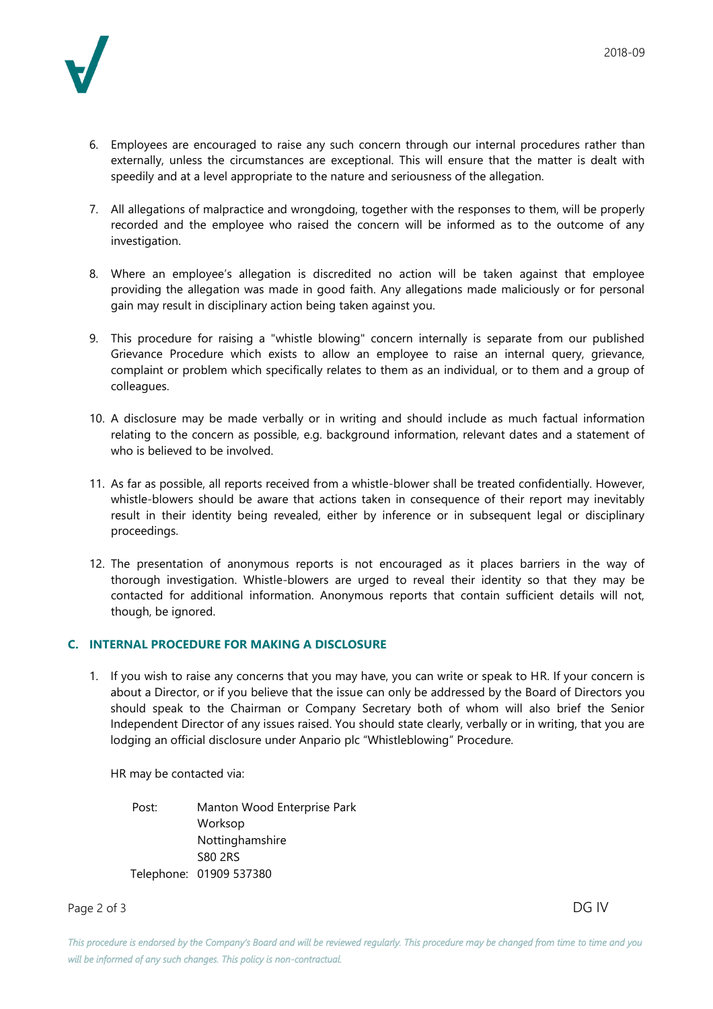

- 6. Employees are encouraged to raise any such concern through our internal procedures rather than externally, unless the circumstances are exceptional. This will ensure that the matter is dealt with speedily and at a level appropriate to the nature and seriousness of the allegation.
- 7. All allegations of malpractice and wrongdoing, together with the responses to them, will be properly recorded and the employee who raised the concern will be informed as to the outcome of any investigation.
- 8. Where an employee's allegation is discredited no action will be taken against that employee providing the allegation was made in good faith. Any allegations made maliciously or for personal gain may result in disciplinary action being taken against you.
- 9. This procedure for raising a "whistle blowing" concern internally is separate from our published Grievance Procedure which exists to allow an employee to raise an internal query, grievance, complaint or problem which specifically relates to them as an individual, or to them and a group of colleagues.
- 10. A disclosure may be made verbally or in writing and should include as much factual information relating to the concern as possible, e.g. background information, relevant dates and a statement of who is believed to be involved.
- 11. As far as possible, all reports received from a whistle-blower shall be treated confidentially. However, whistle-blowers should be aware that actions taken in consequence of their report may inevitably result in their identity being revealed, either by inference or in subsequent legal or disciplinary proceedings.
- 12. The presentation of anonymous reports is not encouraged as it places barriers in the way of thorough investigation. Whistle-blowers are urged to reveal their identity so that they may be contacted for additional information. Anonymous reports that contain sufficient details will not, though, be ignored.

## **C. INTERNAL PROCEDURE FOR MAKING A DISCLOSURE**

1. If you wish to raise any concerns that you may have, you can write or speak to HR. If your concern is about a Director, or if you believe that the issue can only be addressed by the Board of Directors you should speak to the Chairman or Company Secretary both of whom will also brief the Senior Independent Director of any issues raised. You should state clearly, verbally or in writing, that you are lodging an official disclosure under Anpario plc "Whistleblowing" Procedure.

HR may be contacted via:

Post: Manton Wood Enterprise Park Worksop Nottinghamshire S80 2RS Telephone: 01909 537380